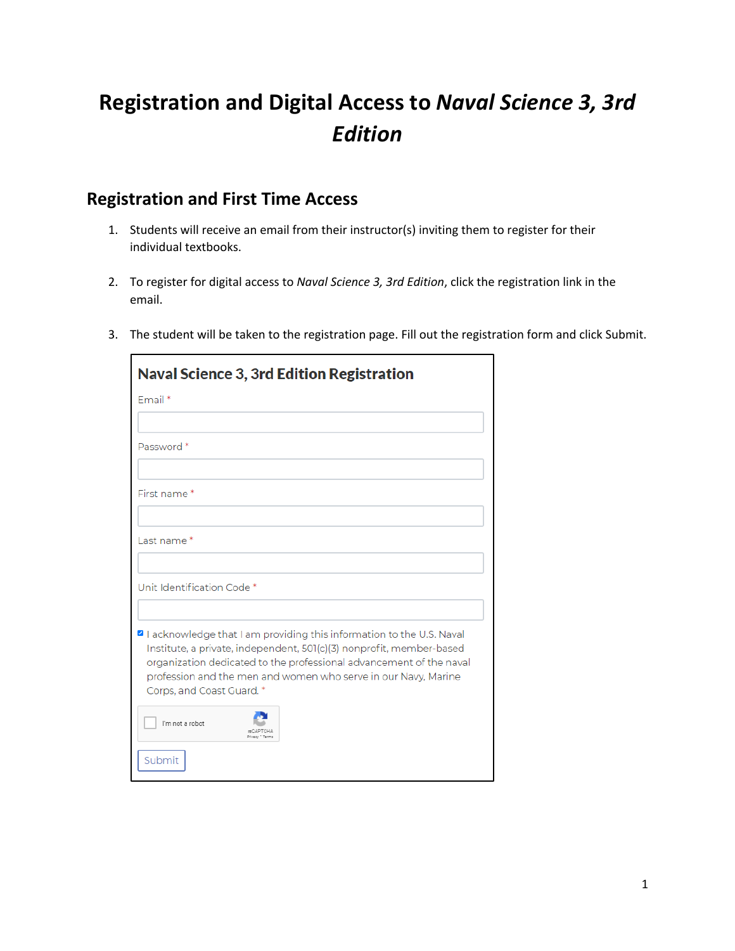## **Registration and Digital Access to** *Naval Science 3, 3rd Edition*

## **Registration and First Time Access**

- 1. Students will receive an email from their instructor(s) inviting them to register for their individual textbooks.
- 2. To register for digital access to *Naval Science 3, 3rd Edition*, click the registration link in the email.
- 3. The student will be taken to the registration page. Fill out the registration form and click Submit.

| <b>Naval Science 3, 3rd Edition Registration</b>                                                                                                                                                                                                                                                                  |
|-------------------------------------------------------------------------------------------------------------------------------------------------------------------------------------------------------------------------------------------------------------------------------------------------------------------|
| Fmail*                                                                                                                                                                                                                                                                                                            |
|                                                                                                                                                                                                                                                                                                                   |
| Password <sup>*</sup>                                                                                                                                                                                                                                                                                             |
| First name*                                                                                                                                                                                                                                                                                                       |
|                                                                                                                                                                                                                                                                                                                   |
| Last name*                                                                                                                                                                                                                                                                                                        |
|                                                                                                                                                                                                                                                                                                                   |
| Unit Identification Code*                                                                                                                                                                                                                                                                                         |
| I acknowledge that I am providing this information to the U.S. Naval<br>Institute, a private, independent, 501(c)(3) nonprofit, member-based<br>organization dedicated to the professional advancement of the naval<br>profession and the men and women who serve in our Navy, Marine<br>Corps, and Coast Guard.* |
| I'm not a robot<br>Privacy * Tarr                                                                                                                                                                                                                                                                                 |
| Submit                                                                                                                                                                                                                                                                                                            |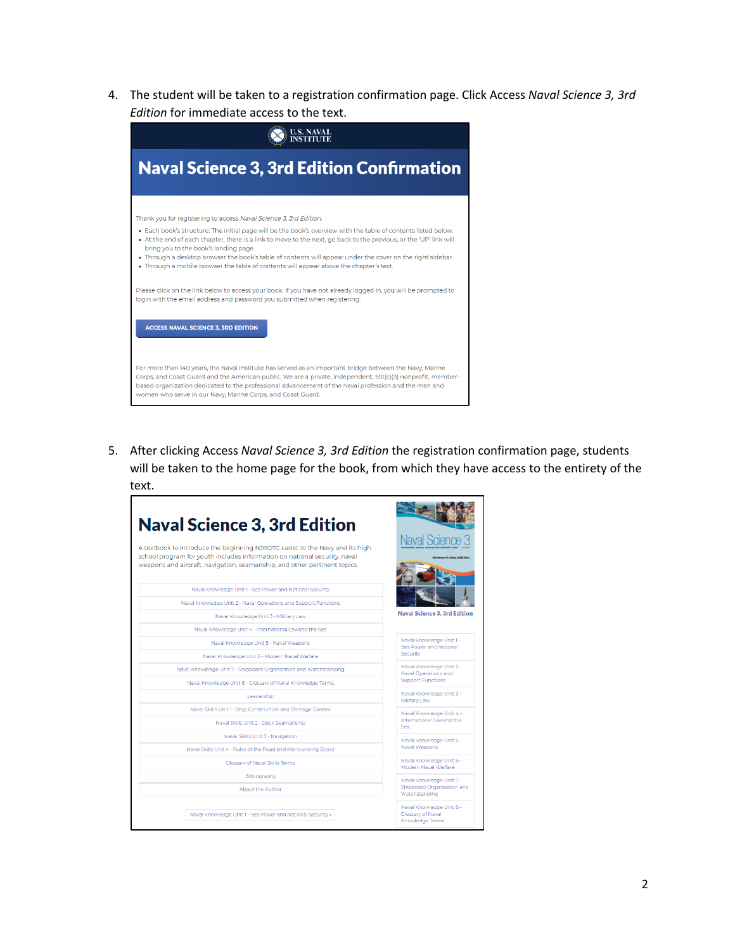4. The student will be taken to a registration confirmation page. Click Access *Naval Science 3, 3rd Edition* for immediate access to the text.



5. After clicking Access *Naval Science 3, 3rd Edition* the registration confirmation page, students will be taken to the home page for the book, from which they have access to the entirety of the text.

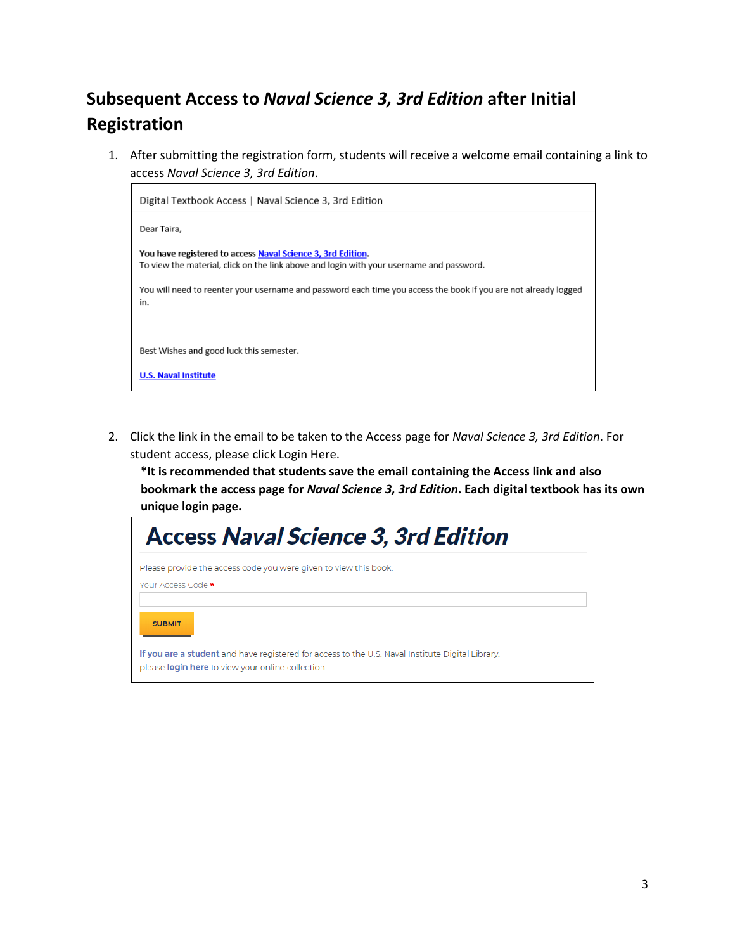## **Subsequent Access to** *Naval Science 3, 3rd Edition* **after Initial Registration**

1. After submitting the registration form, students will receive a welcome email containing a link to access *Naval Science 3, 3rd Edition*.



2. Click the link in the email to be taken to the Access page for *Naval Science 3, 3rd Edition*. For student access, please click Login Here.

**\*It is recommended that students save the email containing the Access link and also bookmark the access page for** *Naval Science 3, 3rd Edition***. Each digital textbook has its own unique login page.** 

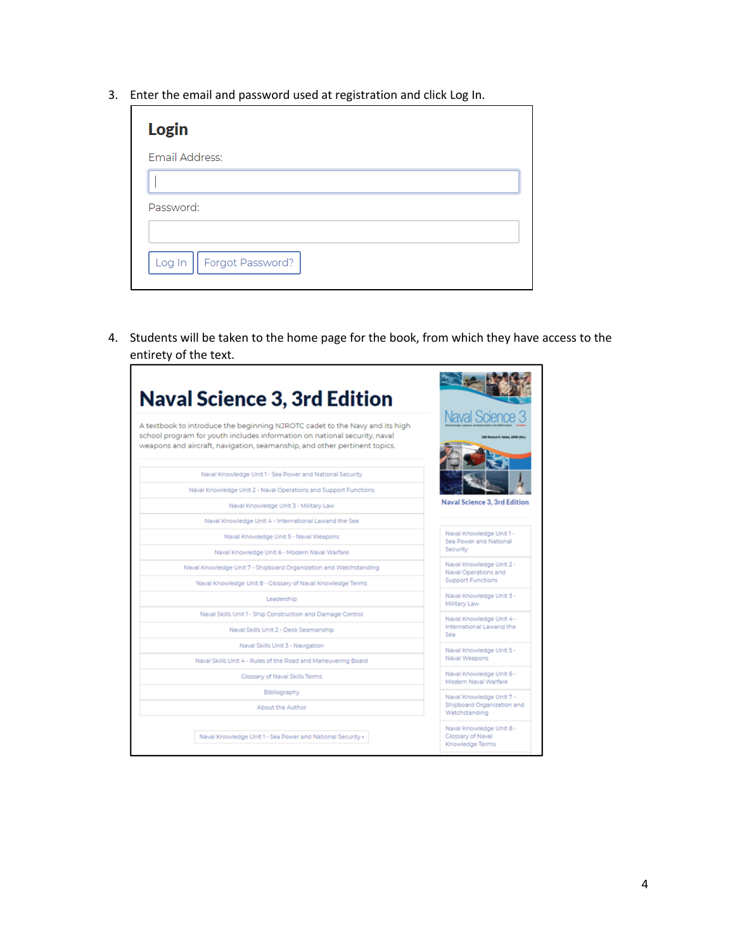3. Enter the email and password used at registration and click Log In.

| <b>Login</b>               |
|----------------------------|
| Email Address:             |
|                            |
| Password:                  |
|                            |
| Log In<br>Forgot Password? |

4. Students will be taken to the home page for the book, from which they have access to the entirety of the text.

|                                                                                                                                                                                                                                       | <b>Naval Science 3</b>                                                       |  |
|---------------------------------------------------------------------------------------------------------------------------------------------------------------------------------------------------------------------------------------|------------------------------------------------------------------------------|--|
| A textbook to introduce the beginning NJROTC cadet to the Navy and its high<br>school program for youth includes information on national security, naval<br>weapons and aircraft, navigation, seamanship, and other pertinent topics. | <b>School R. Roldo, 1538 (I)</b>                                             |  |
| Naval Knowledge Unit 1 - Sea Power and National Security                                                                                                                                                                              |                                                                              |  |
| Naval Knowledge Unit 2 - Naval Operations and Support Functions                                                                                                                                                                       |                                                                              |  |
| Naval Knowledge Unit 3 - Military Law                                                                                                                                                                                                 | Naval Science 3, 3rd Edition                                                 |  |
| Naval Knowledge Unit 4 - International Lawand the Sea                                                                                                                                                                                 |                                                                              |  |
| Naval Knowledge Unit 5 - Naval Weapons                                                                                                                                                                                                | Naval Knowledge Unit 1 -<br>Sea Power and National<br>Security               |  |
| Naval Knowledge Unit 6 - Modern Naval Warfare                                                                                                                                                                                         |                                                                              |  |
| Naval Knowledge Unit 7 - Shipboard Organization and Watchstanding                                                                                                                                                                     | Naval Knowledge Unit 2 -<br>Naval Operations and<br><b>Support Functions</b> |  |
| Naval Knowledge Unit 8 - Glossary of Naval Knowledge Terms                                                                                                                                                                            |                                                                              |  |
| Leadership                                                                                                                                                                                                                            | Naval Knowledge Unit 3 -<br>Military Law                                     |  |
| Naval Skills Unit 1 - Ship Construction and Damage Control                                                                                                                                                                            | Naval Knowledge Unit 4 -<br>International Lawand the<br>Sea                  |  |
| Naval Skills Unit 2 - Deck Seamanship                                                                                                                                                                                                 |                                                                              |  |
| Naval Skills Unit 3 - Navigation                                                                                                                                                                                                      | Naval Knowledge Unit 5 -<br>Naval Weapons                                    |  |
| Naval Skills Unit 4 - Rules of the Road and Maneuvering Board                                                                                                                                                                         |                                                                              |  |
| Glossary of Naval Skills Terms                                                                                                                                                                                                        | Naval Knowledge Unit 6 -<br>Modern Naval Warfare                             |  |
| Bibliography                                                                                                                                                                                                                          | Naval Knowledge Unit 7 -<br>Shipboard Organization and<br>Watchstanding      |  |
| About the Author                                                                                                                                                                                                                      |                                                                              |  |
| Naval Knowledge Unit 1 - Sea Power and National Security »                                                                                                                                                                            | Naval Knowledge Unit 8 -<br>Glossary of Naval<br>Knowledge Terms             |  |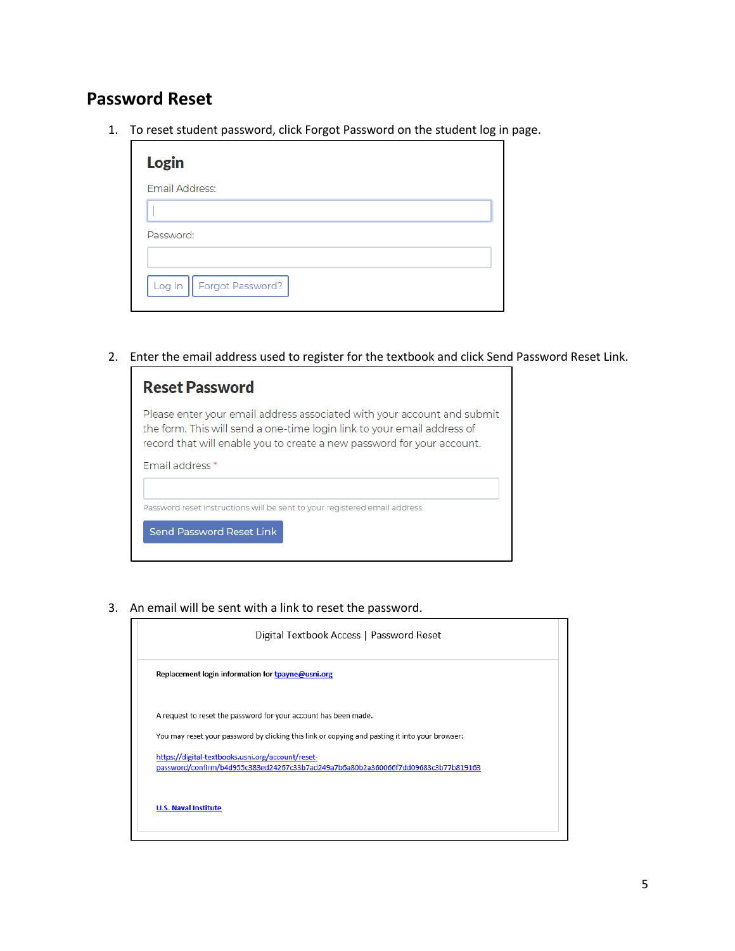## **Password Reset**

1. To reset student password, click Forgot Password on the student log in page.

| Login                      |
|----------------------------|
| Email Address:             |
|                            |
| Password:                  |
|                            |
| Log In    Forgot Password? |

2. Enter the email address used to register for the textbook and click Send Password Reset Link.

| <b>Reset Password</b>                                                                                                                                                                                                        |
|------------------------------------------------------------------------------------------------------------------------------------------------------------------------------------------------------------------------------|
| Please enter your email address associated with your account and submit<br>the form. This will send a one-time login link to your email address of<br>record that will enable you to create a new password for your account. |
| <b>Email address</b> *                                                                                                                                                                                                       |
| Password reset instructions will be sent to your registered email address.<br>Send Password Reset Link                                                                                                                       |

3. An email will be sent with a link to reset the password.

| Digital Textbook Access   Password Reset                                                                                               |
|----------------------------------------------------------------------------------------------------------------------------------------|
| Replacement login information for tpayne@usni.org                                                                                      |
| A request to reset the password for your account has been made.                                                                        |
| You may reset your password by clicking this link or copying and pasting it into your browser:                                         |
| https://digital-textbooks.usni.org/account/reset-<br>password/confirm/b4d955c383ed24267c33b7ad249a7b6a80b2a360066f7dd09683c3b77b819163 |
| <b>U.S. Naval Institute</b>                                                                                                            |